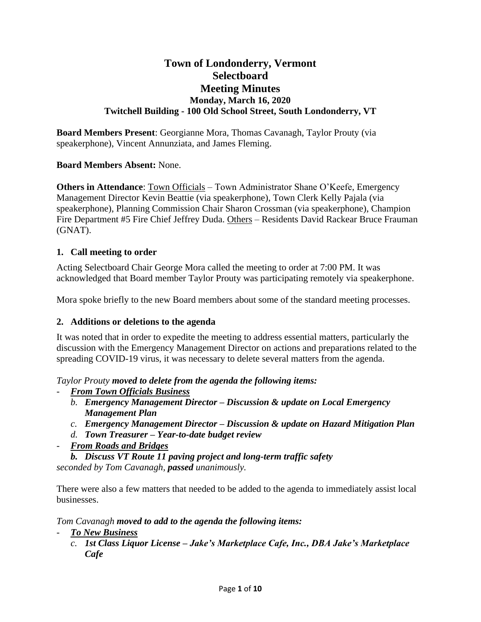# **Town of Londonderry, Vermont Selectboard Meeting Minutes Monday, March 16, 2020 Twitchell Building - 100 Old School Street, South Londonderry, VT**

**Board Members Present**: Georgianne Mora, Thomas Cavanagh, Taylor Prouty (via speakerphone), Vincent Annunziata, and James Fleming.

## **Board Members Absent:** None.

**Others in Attendance**: Town Officials – Town Administrator Shane O'Keefe, Emergency Management Director Kevin Beattie (via speakerphone), Town Clerk Kelly Pajala (via speakerphone), Planning Commission Chair Sharon Crossman (via speakerphone), Champion Fire Department #5 Fire Chief Jeffrey Duda. Others – Residents David Rackear Bruce Frauman (GNAT).

## **1. Call meeting to order**

Acting Selectboard Chair George Mora called the meeting to order at 7:00 PM. It was acknowledged that Board member Taylor Prouty was participating remotely via speakerphone.

Mora spoke briefly to the new Board members about some of the standard meeting processes.

### **2. Additions or deletions to the agenda**

It was noted that in order to expedite the meeting to address essential matters, particularly the discussion with the Emergency Management Director on actions and preparations related to the spreading COVID-19 virus, it was necessary to delete several matters from the agenda.

*Taylor Prouty moved to delete from the agenda the following items:*

- *From Town Officials Business*
	- *b. Emergency Management Director – Discussion & update on Local Emergency Management Plan*
	- *c. Emergency Management Director – Discussion & update on Hazard Mitigation Plan*
	- *d. Town Treasurer – Year-to-date budget review*
- *From Roads and Bridges*

*b. Discuss VT Route 11 paving project and long-term traffic safety seconded by Tom Cavanagh, passed unanimously.*

There were also a few matters that needed to be added to the agenda to immediately assist local businesses.

*Tom Cavanagh moved to add to the agenda the following items:*

- *To New Business*
	- *c. 1st Class Liquor License – Jake's Marketplace Cafe, Inc., DBA Jake's Marketplace Cafe*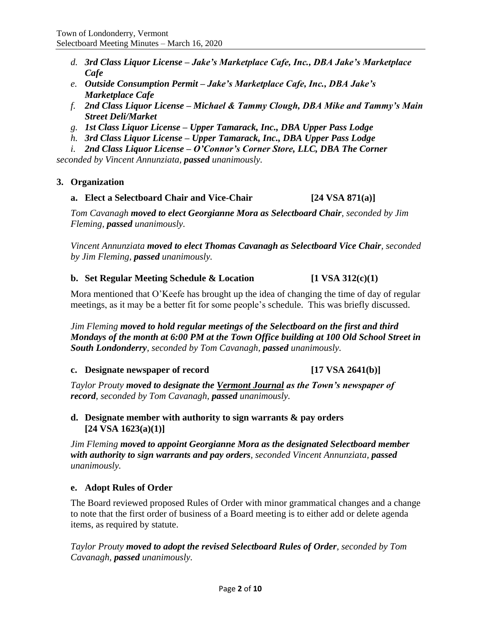- *d. 3rd Class Liquor License – Jake's Marketplace Cafe, Inc., DBA Jake's Marketplace Cafe*
- *e. Outside Consumption Permit – Jake's Marketplace Cafe, Inc., DBA Jake's Marketplace Cafe*
- *f. 2nd Class Liquor License – Michael & Tammy Clough, DBA Mike and Tammy's Main Street Deli/Market*
- *g. 1st Class Liquor License – Upper Tamarack, Inc., DBA Upper Pass Lodge*
- *h. 3rd Class Liquor License – Upper Tamarack, Inc., DBA Upper Pass Lodge*
- *i. 2nd Class Liquor License – O'Connor's Corner Store, LLC, DBA The Corner*

*seconded by Vincent Annunziata, passed unanimously.*

## **3. Organization**

**a. Elect a Selectboard Chair and Vice-Chair [24 VSA 871(a)]**

*Tom Cavanagh moved to elect Georgianne Mora as Selectboard Chair, seconded by Jim Fleming, passed unanimously.*

*Vincent Annunziata moved to elect Thomas Cavanagh as Selectboard Vice Chair, seconded by Jim Fleming, passed unanimously.*

## **b. Set Regular Meeting Schedule & Location [1 VSA 312(c)(1)**

Mora mentioned that O'Keefe has brought up the idea of changing the time of day of regular meetings, as it may be a better fit for some people's schedule. This was briefly discussed.

*Jim Fleming moved to hold regular meetings of the Selectboard on the first and third Mondays of the month at 6:00 PM at the Town Office building at 100 Old School Street in South Londonderry, seconded by Tom Cavanagh, passed unanimously.*

**c. Designate newspaper of record [17 VSA 2641(b)]**

*Taylor Prouty moved to designate the Vermont Journal as the Town's newspaper of record, seconded by Tom Cavanagh, passed unanimously.*

## **d. Designate member with authority to sign warrants & pay orders [24 VSA 1623(a)(1)]**

*Jim Fleming moved to appoint Georgianne Mora as the designated Selectboard member with authority to sign warrants and pay orders, seconded Vincent Annunziata, passed unanimously.*

## **e. Adopt Rules of Order**

The Board reviewed proposed Rules of Order with minor grammatical changes and a change to note that the first order of business of a Board meeting is to either add or delete agenda items, as required by statute.

*Taylor Prouty moved to adopt the revised Selectboard Rules of Order, seconded by Tom Cavanagh, passed unanimously.*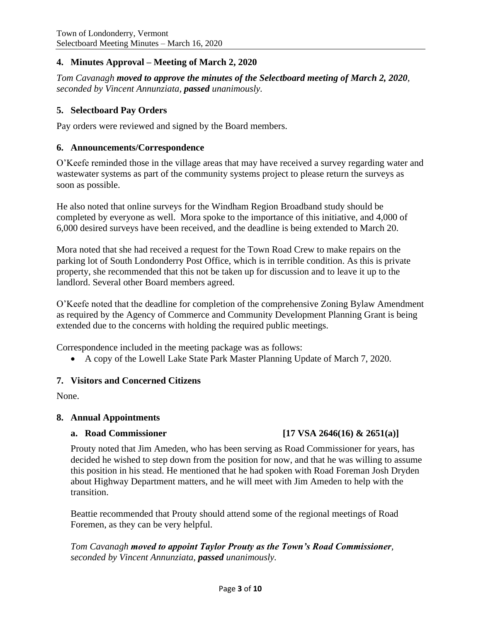## **4. Minutes Approval – Meeting of March 2, 2020**

*Tom Cavanagh moved to approve the minutes of the Selectboard meeting of March 2, 2020, seconded by Vincent Annunziata, passed unanimously.*

## **5. Selectboard Pay Orders**

Pay orders were reviewed and signed by the Board members.

### **6. Announcements/Correspondence**

O'Keefe reminded those in the village areas that may have received a survey regarding water and wastewater systems as part of the community systems project to please return the surveys as soon as possible.

He also noted that online surveys for the Windham Region Broadband study should be completed by everyone as well. Mora spoke to the importance of this initiative, and 4,000 of 6,000 desired surveys have been received, and the deadline is being extended to March 20.

Mora noted that she had received a request for the Town Road Crew to make repairs on the parking lot of South Londonderry Post Office, which is in terrible condition. As this is private property, she recommended that this not be taken up for discussion and to leave it up to the landlord. Several other Board members agreed.

O'Keefe noted that the deadline for completion of the comprehensive Zoning Bylaw Amendment as required by the Agency of Commerce and Community Development Planning Grant is being extended due to the concerns with holding the required public meetings.

Correspondence included in the meeting package was as follows:

• A copy of the Lowell Lake State Park Master Planning Update of March 7, 2020.

## **7. Visitors and Concerned Citizens**

None.

### **8. Annual Appointments**

## **a. Road Commissioner [17 VSA 2646(16) & 2651(a)]**

Prouty noted that Jim Ameden, who has been serving as Road Commissioner for years, has decided he wished to step down from the position for now, and that he was willing to assume this position in his stead. He mentioned that he had spoken with Road Foreman Josh Dryden about Highway Department matters, and he will meet with Jim Ameden to help with the transition.

Beattie recommended that Prouty should attend some of the regional meetings of Road Foremen, as they can be very helpful.

*Tom Cavanagh moved to appoint Taylor Prouty as the Town's Road Commissioner, seconded by Vincent Annunziata, passed unanimously.*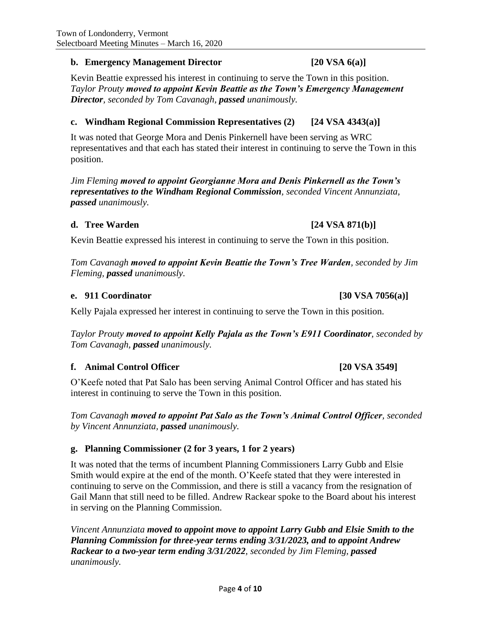## **b. Emergency Management Director [20 VSA 6(a)]**

Kevin Beattie expressed his interest in continuing to serve the Town in this position. *Taylor Prouty moved to appoint Kevin Beattie as the Town's Emergency Management Director, seconded by Tom Cavanagh, passed unanimously.*

## **c. Windham Regional Commission Representatives (2) [24 VSA 4343(a)]**

It was noted that George Mora and Denis Pinkernell have been serving as WRC representatives and that each has stated their interest in continuing to serve the Town in this position.

*Jim Fleming moved to appoint Georgianne Mora and Denis Pinkernell as the Town's representatives to the Windham Regional Commission, seconded Vincent Annunziata, passed unanimously.*

### **d. Tree Warden [24 VSA 871(b)]**

Kevin Beattie expressed his interest in continuing to serve the Town in this position.

*Tom Cavanagh moved to appoint Kevin Beattie the Town's Tree Warden, seconded by Jim Fleming, passed unanimously.*

### **e. 911 Coordinator [30 VSA 7056(a)]**

Kelly Pajala expressed her interest in continuing to serve the Town in this position.

*Taylor Prouty moved to appoint Kelly Pajala as the Town's E911 Coordinator, seconded by Tom Cavanagh, passed unanimously.*

## **f. Animal Control Officer [20 VSA 3549]**

O'Keefe noted that Pat Salo has been serving Animal Control Officer and has stated his interest in continuing to serve the Town in this position.

*Tom Cavanagh moved to appoint Pat Salo as the Town's Animal Control Officer, seconded by Vincent Annunziata, passed unanimously.*

## **g. Planning Commissioner (2 for 3 years, 1 for 2 years)**

It was noted that the terms of incumbent Planning Commissioners Larry Gubb and Elsie Smith would expire at the end of the month. O'Keefe stated that they were interested in continuing to serve on the Commission, and there is still a vacancy from the resignation of Gail Mann that still need to be filled. Andrew Rackear spoke to the Board about his interest in serving on the Planning Commission.

*Vincent Annunziata moved to appoint move to appoint Larry Gubb and Elsie Smith to the Planning Commission for three-year terms ending 3/31/2023, and to appoint Andrew Rackear to a two-year term ending 3/31/2022, seconded by Jim Fleming, passed unanimously.*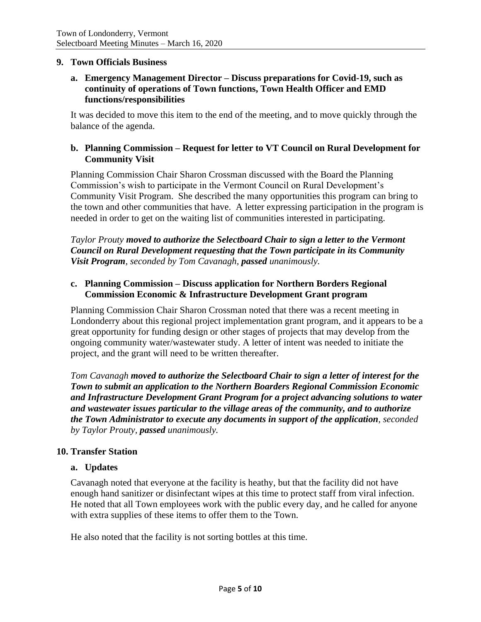### **9. Town Officials Business**

## **a. Emergency Management Director – Discuss preparations for Covid-19, such as continuity of operations of Town functions, Town Health Officer and EMD functions/responsibilities**

It was decided to move this item to the end of the meeting, and to move quickly through the balance of the agenda.

## **b. Planning Commission – Request for letter to VT Council on Rural Development for Community Visit**

Planning Commission Chair Sharon Crossman discussed with the Board the Planning Commission's wish to participate in the Vermont Council on Rural Development's Community Visit Program. She described the many opportunities this program can bring to the town and other communities that have. A letter expressing participation in the program is needed in order to get on the waiting list of communities interested in participating.

*Taylor Prouty moved to authorize the Selectboard Chair to sign a letter to the Vermont Council on Rural Development requesting that the Town participate in its Community Visit Program, seconded by Tom Cavanagh, passed unanimously.*

### **c. Planning Commission – Discuss application for Northern Borders Regional Commission Economic & Infrastructure Development Grant program**

Planning Commission Chair Sharon Crossman noted that there was a recent meeting in Londonderry about this regional project implementation grant program, and it appears to be a great opportunity for funding design or other stages of projects that may develop from the ongoing community water/wastewater study. A letter of intent was needed to initiate the project, and the grant will need to be written thereafter.

*Tom Cavanagh moved to authorize the Selectboard Chair to sign a letter of interest for the Town to submit an application to the Northern Boarders Regional Commission Economic and Infrastructure Development Grant Program for a project advancing solutions to water and wastewater issues particular to the village areas of the community, and to authorize the Town Administrator to execute any documents in support of the application, seconded by Taylor Prouty, passed unanimously.*

### **10. Transfer Station**

### **a. Updates**

Cavanagh noted that everyone at the facility is heathy, but that the facility did not have enough hand sanitizer or disinfectant wipes at this time to protect staff from viral infection. He noted that all Town employees work with the public every day, and he called for anyone with extra supplies of these items to offer them to the Town.

He also noted that the facility is not sorting bottles at this time.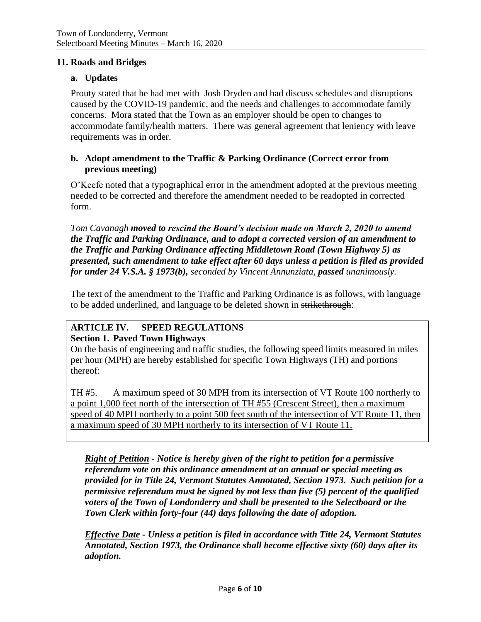### **11. Roads and Bridges**

## **a. Updates**

Prouty stated that he had met with Josh Dryden and had discuss schedules and disruptions caused by the COVID-19 pandemic, and the needs and challenges to accommodate family concerns. Mora stated that the Town as an employer should be open to changes to accommodate family/health matters. There was general agreement that leniency with leave requirements was in order.

## **b. Adopt amendment to the Traffic & Parking Ordinance (Correct error from previous meeting)**

O'Keefe noted that a typographical error in the amendment adopted at the previous meeting needed to be corrected and therefore the amendment needed to be readopted in corrected form.

*Tom Cavanagh moved to rescind the Board's decision made on March 2, 2020 to amend the Traffic and Parking Ordinance, and to adopt a corrected version of an amendment to the Traffic and Parking Ordinance affecting Middletown Road (Town Highway 5) as presented, such amendment to take effect after 60 days unless a petition is filed as provided for under 24 V.S.A. § 1973(b), seconded by Vincent Annunziata, passed unanimously.*

The text of the amendment to the Traffic and Parking Ordinance is as follows, with language to be added underlined, and language to be deleted shown in strikethrough:

### **ARTICLE IV. SPEED REGULATIONS Section 1. Paved Town Highways**

On the basis of engineering and traffic studies, the following speed limits measured in miles per hour (MPH) are hereby established for specific Town Highways (TH) and portions thereof:

TH #5. A maximum speed of 30 MPH from its intersection of VT Route 100 northerly to a point 1,000 feet north of the intersection of TH #55 (Crescent Street), then a maximum speed of 40 MPH northerly to a point 500 feet south of the intersection of VT Route 11, then a maximum speed of 30 MPH northerly to its intersection of VT Route 11.

*Right of Petition - Notice is hereby given of the right to petition for a permissive referendum vote on this ordinance amendment at an annual or special meeting as provided for in Title 24, Vermont Statutes Annotated, Section 1973. Such petition for a permissive referendum must be signed by not less than five (5) percent of the qualified voters of the Town of Londonderry and shall be presented to the Selectboard or the Town Clerk within forty-four (44) days following the date of adoption.* 

*Effective Date - Unless a petition is filed in accordance with Title 24, Vermont Statutes Annotated, Section 1973, the Ordinance shall become effective sixty (60) days after its adoption.*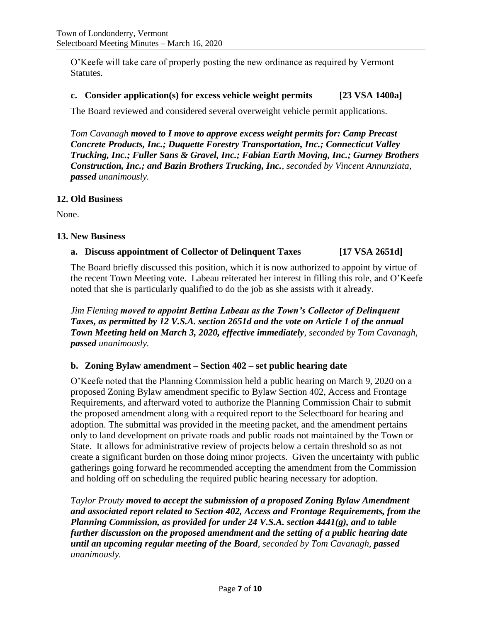O'Keefe will take care of properly posting the new ordinance as required by Vermont Statutes.

## **c. Consider application(s) for excess vehicle weight permits [23 VSA 1400a]**

The Board reviewed and considered several overweight vehicle permit applications.

*Tom Cavanagh moved to I move to approve excess weight permits for: Camp Precast Concrete Products, Inc.; Duquette Forestry Transportation, Inc.; Connecticut Valley Trucking, Inc.; Fuller Sans & Gravel, Inc.; Fabian Earth Moving, Inc.; Gurney Brothers Construction, Inc.; and Bazin Brothers Trucking, Inc.*, *seconded by Vincent Annunziata, passed unanimously.*

### **12. Old Business**

None.

## **13. New Business**

## **a. Discuss appointment of Collector of Delinquent Taxes [17 VSA 2651d]**

The Board briefly discussed this position, which it is now authorized to appoint by virtue of the recent Town Meeting vote. Labeau reiterated her interest in filling this role, and O'Keefe noted that she is particularly qualified to do the job as she assists with it already.

*Jim Fleming moved to appoint Bettina Labeau as the Town's Collector of Delinquent Taxes, as permitted by 12 V.S.A. section 2651d and the vote on Article 1 of the annual Town Meeting held on March 3, 2020, effective immediately*, *seconded by Tom Cavanagh, passed unanimously.*

## **b. Zoning Bylaw amendment – Section 402 – set public hearing date**

O'Keefe noted that the Planning Commission held a public hearing on March 9, 2020 on a proposed Zoning Bylaw amendment specific to Bylaw Section 402, Access and Frontage Requirements, and afterward voted to authorize the Planning Commission Chair to submit the proposed amendment along with a required report to the Selectboard for hearing and adoption. The submittal was provided in the meeting packet, and the amendment pertains only to land development on private roads and public roads not maintained by the Town or State. It allows for administrative review of projects below a certain threshold so as not create a significant burden on those doing minor projects. Given the uncertainty with public gatherings going forward he recommended accepting the amendment from the Commission and holding off on scheduling the required public hearing necessary for adoption.

*Taylor Prouty moved to accept the submission of a proposed Zoning Bylaw Amendment and associated report related to Section 402, Access and Frontage Requirements, from the Planning Commission, as provided for under 24 V.S.A. section 4441(g), and to table further discussion on the proposed amendment and the setting of a public hearing date until an upcoming regular meeting of the Board, seconded by Tom Cavanagh, passed unanimously.*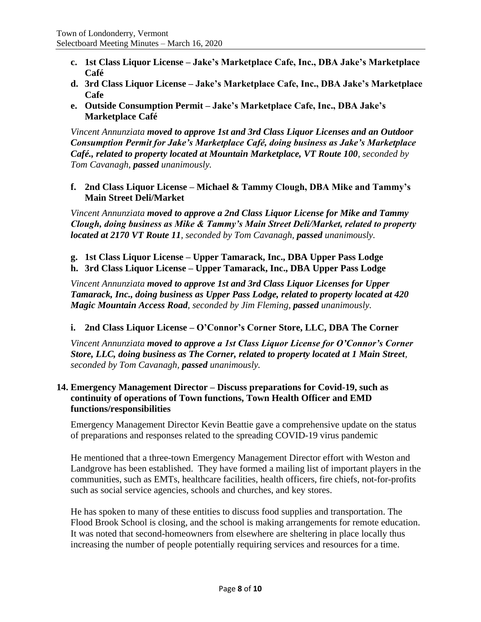- **c. 1st Class Liquor License – Jake's Marketplace Cafe, Inc., DBA Jake's Marketplace Café**
- **d. 3rd Class Liquor License – Jake's Marketplace Cafe, Inc., DBA Jake's Marketplace Cafe**
- **e. Outside Consumption Permit – Jake's Marketplace Cafe, Inc., DBA Jake's Marketplace Café**

*Vincent Annunziata moved to approve 1st and 3rd Class Liquor Licenses and an Outdoor Consumption Permit for Jake's Marketplace Café, doing business as Jake's Marketplace Café., related to property located at Mountain Marketplace, VT Route 100, seconded by Tom Cavanagh, passed unanimously.*

**f. 2nd Class Liquor License – Michael & Tammy Clough, DBA Mike and Tammy's Main Street Deli/Market**

*Vincent Annunziata moved to approve a 2nd Class Liquor License for Mike and Tammy Clough, doing business as Mike & Tammy's Main Street Deli/Market, related to property located at 2170 VT Route 11, seconded by Tom Cavanagh, passed unanimously.*

- **g. 1st Class Liquor License – Upper Tamarack, Inc., DBA Upper Pass Lodge**
- **h. 3rd Class Liquor License – Upper Tamarack, Inc., DBA Upper Pass Lodge**

*Vincent Annunziata moved to approve 1st and 3rd Class Liquor Licenses for Upper Tamarack, Inc., doing business as Upper Pass Lodge, related to property located at 420 Magic Mountain Access Road, seconded by Jim Fleming, passed unanimously.*

## **i. 2nd Class Liquor License – O'Connor's Corner Store, LLC, DBA The Corner**

*Vincent Annunziata moved to approve a 1st Class Liquor License for O'Connor's Corner Store, LLC, doing business as The Corner, related to property located at 1 Main Street, seconded by Tom Cavanagh, passed unanimously.*

## **14. Emergency Management Director – Discuss preparations for Covid-19, such as continuity of operations of Town functions, Town Health Officer and EMD functions/responsibilities**

Emergency Management Director Kevin Beattie gave a comprehensive update on the status of preparations and responses related to the spreading COVID-19 virus pandemic

He mentioned that a three-town Emergency Management Director effort with Weston and Landgrove has been established. They have formed a mailing list of important players in the communities, such as EMTs, healthcare facilities, health officers, fire chiefs, not-for-profits such as social service agencies, schools and churches, and key stores.

He has spoken to many of these entities to discuss food supplies and transportation. The Flood Brook School is closing, and the school is making arrangements for remote education. It was noted that second-homeowners from elsewhere are sheltering in place locally thus increasing the number of people potentially requiring services and resources for a time.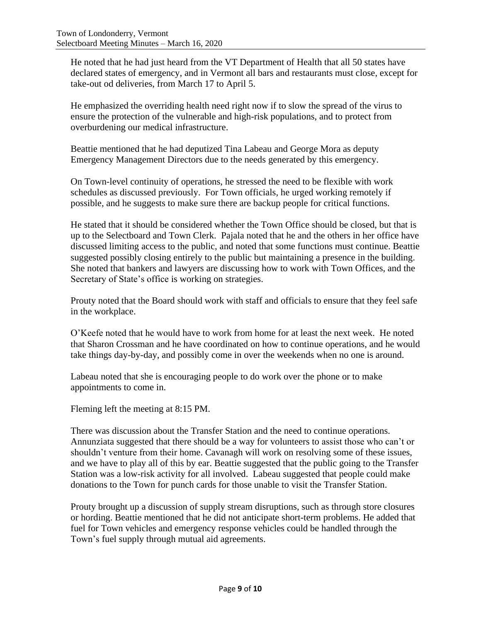He noted that he had just heard from the VT Department of Health that all 50 states have declared states of emergency, and in Vermont all bars and restaurants must close, except for take-out od deliveries, from March 17 to April 5.

He emphasized the overriding health need right now if to slow the spread of the virus to ensure the protection of the vulnerable and high-risk populations, and to protect from overburdening our medical infrastructure.

Beattie mentioned that he had deputized Tina Labeau and George Mora as deputy Emergency Management Directors due to the needs generated by this emergency.

On Town-level continuity of operations, he stressed the need to be flexible with work schedules as discussed previously. For Town officials, he urged working remotely if possible, and he suggests to make sure there are backup people for critical functions.

He stated that it should be considered whether the Town Office should be closed, but that is up to the Selectboard and Town Clerk. Pajala noted that he and the others in her office have discussed limiting access to the public, and noted that some functions must continue. Beattie suggested possibly closing entirely to the public but maintaining a presence in the building. She noted that bankers and lawyers are discussing how to work with Town Offices, and the Secretary of State's office is working on strategies.

Prouty noted that the Board should work with staff and officials to ensure that they feel safe in the workplace.

O'Keefe noted that he would have to work from home for at least the next week. He noted that Sharon Crossman and he have coordinated on how to continue operations, and he would take things day-by-day, and possibly come in over the weekends when no one is around.

Labeau noted that she is encouraging people to do work over the phone or to make appointments to come in.

Fleming left the meeting at 8:15 PM.

There was discussion about the Transfer Station and the need to continue operations. Annunziata suggested that there should be a way for volunteers to assist those who can't or shouldn't venture from their home. Cavanagh will work on resolving some of these issues, and we have to play all of this by ear. Beattie suggested that the public going to the Transfer Station was a low-risk activity for all involved. Labeau suggested that people could make donations to the Town for punch cards for those unable to visit the Transfer Station.

Prouty brought up a discussion of supply stream disruptions, such as through store closures or hording. Beattie mentioned that he did not anticipate short-term problems. He added that fuel for Town vehicles and emergency response vehicles could be handled through the Town's fuel supply through mutual aid agreements.